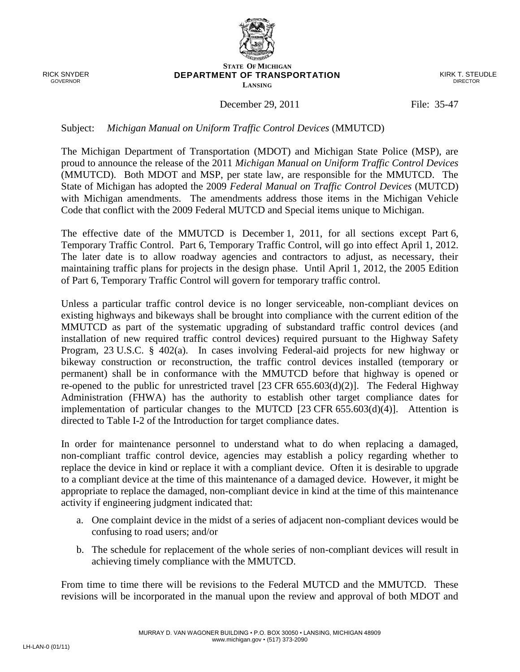RICK SNYDER GOVERNOR

## **STATE OF MICHIGAN DEPARTMENT OF TRANSPORTATION LANSING**

KIRK T. STEUDLE DIRECTOR

## December 29, 2011 File: 35-47

## Subject: *Michigan Manual on Uniform Traffic Control Devices* (MMUTCD)

The Michigan Department of Transportation (MDOT) and Michigan State Police (MSP), are proud to announce the release of the 2011 *Michigan Manual on Uniform Traffic Control Devices* (MMUTCD). Both MDOT and MSP, per state law, are responsible for the MMUTCD. The State of Michigan has adopted the 2009 *Federal Manual on Traffic Control Devices* (MUTCD) with Michigan amendments. The amendments address those items in the Michigan Vehicle Code that conflict with the 2009 Federal MUTCD and Special items unique to Michigan.

The effective date of the MMUTCD is December 1, 2011, for all sections except Part 6, Temporary Traffic Control. Part 6, Temporary Traffic Control, will go into effect April 1, 2012. The later date is to allow roadway agencies and contractors to adjust, as necessary, their maintaining traffic plans for projects in the design phase. Until April 1, 2012, the 2005 Edition of Part 6, Temporary Traffic Control will govern for temporary traffic control.

Unless a particular traffic control device is no longer serviceable, non-compliant devices on existing highways and bikeways shall be brought into compliance with the current edition of the MMUTCD as part of the systematic upgrading of substandard traffic control devices (and installation of new required traffic control devices) required pursuant to the Highway Safety Program, 23 U.S.C. § 402(a). In cases involving Federal-aid projects for new highway or bikeway construction or reconstruction, the traffic control devices installed (temporary or permanent) shall be in conformance with the MMUTCD before that highway is opened or re-opened to the public for unrestricted travel [23 CFR 655.603(d)(2)]. The Federal Highway Administration (FHWA) has the authority to establish other target compliance dates for implementation of particular changes to the MUTCD  $[23 \text{ CFR } 655.603(d)(4)]$ . Attention is directed to Table I-2 of the Introduction for target compliance dates.

In order for maintenance personnel to understand what to do when replacing a damaged, non-compliant traffic control device, agencies may establish a policy regarding whether to replace the device in kind or replace it with a compliant device. Often it is desirable to upgrade to a compliant device at the time of this maintenance of a damaged device. However, it might be appropriate to replace the damaged, non-compliant device in kind at the time of this maintenance activity if engineering judgment indicated that:

- a. One complaint device in the midst of a series of adjacent non-compliant devices would be confusing to road users; and/or
- b. The schedule for replacement of the whole series of non-compliant devices will result in achieving timely compliance with the MMUTCD.

From time to time there will be revisions to the Federal MUTCD and the MMUTCD. These revisions will be incorporated in the manual upon the review and approval of both MDOT and